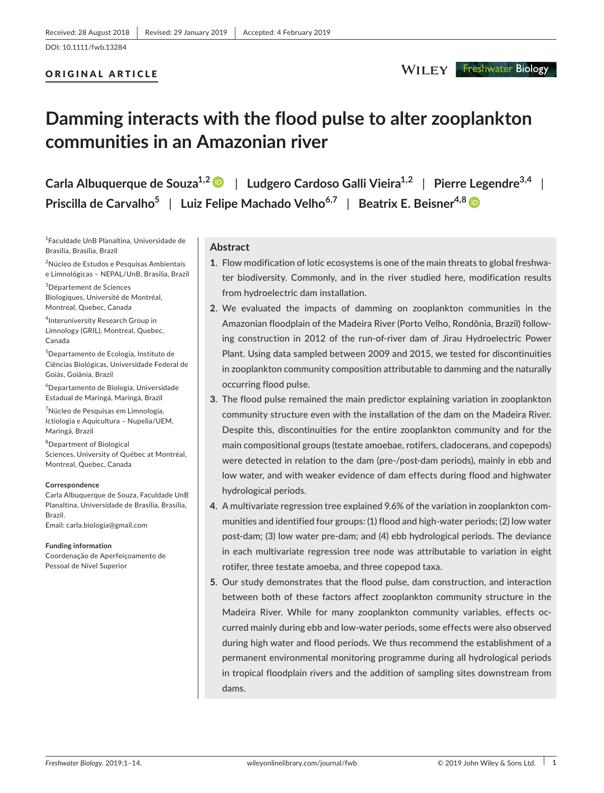# ORIGINAL ARTICLE

# **Damming interacts with the flood pulse to alter zooplankton communities in an Amazonian river**

**Carla Albuquerque de Souza1,[2](https://orcid.org/0000-0002-0205-8594)** | **Ludgero Cardoso Galli Vieira1,2** | **Pierre Legendre3,4** | **Priscilla de Carvalho5** | **Luiz Felipe Machado Velho6,7** | **Beatrix E. Beisner4,[8](https://orcid.org/0000-0001-6972-6887)**

1 Faculdade UnB Planaltina, Universidade de Brasília, Brasília, Brazil

<sup>2</sup>Núcleo de Estudos e Pesquisas Ambientais e Limnológicas – NEPAL/UnB, Brasília, Brazil

3 Département de Sciences Biologiques, Université de Montréal, Montreal, Quebec, Canada

4 Interuniversity Research Group in Limnology (GRIL), Montreal, Quebec, Canada

5 Departamento de Ecologia, Instituto de Ciências Biológicas, Universidade Federal de Goiás, Goiânia, Brazil

6 Departamento de Biologia, Universidade Estadual de Maringá, Maringá, Brazil

<sup>7</sup>Núcleo de Pesquisas em Limnologia, Ictiologia e Aquicultura – Nupelia/UEM, Maringá, Brazil

8 Department of Biological Sciences, University of Québec at Montréal, Montreal, Quebec, Canada

#### **Correspondence**

Carla Albuquerque de Souza, Faculdade UnB Planaltina, Universidade de Brasília, Brasília, Brazil. Email: [carla.biologia@gmail.com](mailto:carla.biologia@gmail.com)

#### **Funding information**

Coordenação de Aperfeiçoamento de Pessoal de Nível Superior

## **Abstract**

- **1**. Flow modification of lotic ecosystems is one of the main threats to global freshwater biodiversity. Commonly, and in the river studied here, modification results from hydroelectric dam installation.
- **2**. We evaluated the impacts of damming on zooplankton communities in the Amazonian floodplain of the Madeira River (Porto Velho, Rondônia, Brazil) following construction in 2012 of the run-of-river dam of Jirau Hydroelectric Power Plant. Using data sampled between 2009 and 2015, we tested for discontinuities in zooplankton community composition attributable to damming and the naturally occurring flood pulse.
- **3**. The flood pulse remained the main predictor explaining variation in zooplankton community structure even with the installation of the dam on the Madeira River. Despite this, discontinuities for the entire zooplankton community and for the main compositional groups (testate amoebae, rotifers, cladocerans, and copepods) were detected in relation to the dam (pre-/post-dam periods), mainly in ebb and low water, and with weaker evidence of dam effects during flood and highwater hydrological periods.
- **4**. A multivariate regression tree explained 9.6% of the variation in zooplankton communities and identified four groups: (1) flood and high-water periods; (2) low water post-dam; (3) low water pre-dam; and (4) ebb hydrological periods. The deviance in each multivariate regression tree node was attributable to variation in eight rotifer, three testate amoeba, and three copepod taxa.
- **5**. Our study demonstrates that the flood pulse, dam construction, and interaction between both of these factors affect zooplankton community structure in the Madeira River. While for many zooplankton community variables, effects occurred mainly during ebb and low-water periods, some effects were also observed during high water and flood periods. We thus recommend the establishment of a permanent environmental monitoring programme during all hydrological periods in tropical floodplain rivers and the addition of sampling sites downstream from dams.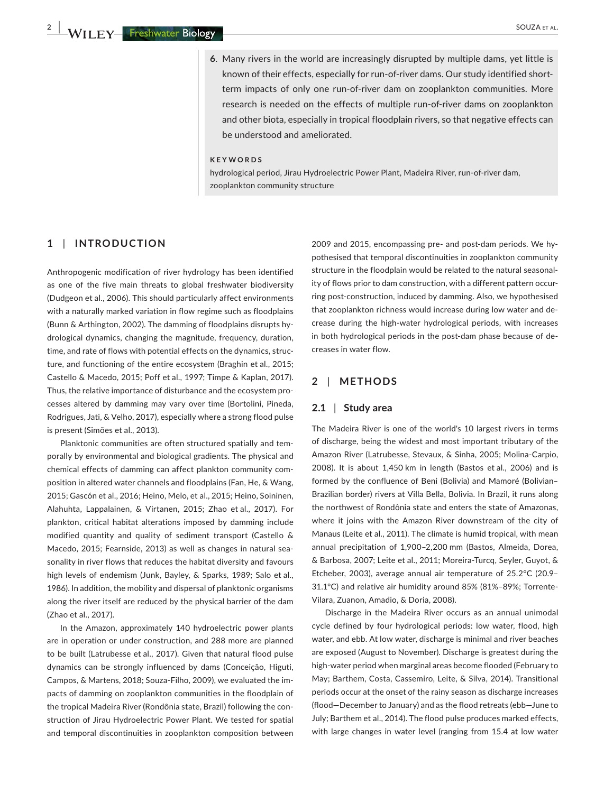**6**. Many rivers in the world are increasingly disrupted by multiple dams, yet little is known of their effects, especially for run-of-river dams. Our study identified shortterm impacts of only one run-of-river dam on zooplankton communities. More research is needed on the effects of multiple run-of-river dams on zooplankton and other biota, especially in tropical floodplain rivers, so that negative effects can be understood and ameliorated.

#### **KEYWORDS**

hydrological period, Jirau Hydroelectric Power Plant, Madeira River, run-of-river dam, zooplankton community structure

## **1** | **INTRODUCTION**

Anthropogenic modification of river hydrology has been identified as one of the five main threats to global freshwater biodiversity (Dudgeon et al., 2006). This should particularly affect environments with a naturally marked variation in flow regime such as floodplains (Bunn & Arthington, 2002). The damming of floodplains disrupts hydrological dynamics, changing the magnitude, frequency, duration, time, and rate of flows with potential effects on the dynamics, structure, and functioning of the entire ecosystem (Braghin et al., 2015; Castello & Macedo, 2015; Poff et al., 1997; Timpe & Kaplan, 2017). Thus, the relative importance of disturbance and the ecosystem processes altered by damming may vary over time (Bortolini, Pineda, Rodrigues, Jati, & Velho, 2017), especially where a strong flood pulse is present (Simões et al., 2013).

Planktonic communities are often structured spatially and temporally by environmental and biological gradients. The physical and chemical effects of damming can affect plankton community composition in altered water channels and floodplains (Fan, He, & Wang, 2015; Gascón et al., 2016; Heino, Melo, et al., 2015; Heino, Soininen, Alahuhta, Lappalainen, & Virtanen, 2015; Zhao et al., 2017). For plankton, critical habitat alterations imposed by damming include modified quantity and quality of sediment transport (Castello & Macedo, 2015; Fearnside, 2013) as well as changes in natural seasonality in river flows that reduces the habitat diversity and favours high levels of endemism (Junk, Bayley, & Sparks, 1989; Salo et al., 1986). In addition, the mobility and dispersal of planktonic organisms along the river itself are reduced by the physical barrier of the dam (Zhao et al., 2017).

In the Amazon, approximately 140 hydroelectric power plants are in operation or under construction, and 288 more are planned to be built (Latrubesse et al., 2017). Given that natural flood pulse dynamics can be strongly influenced by dams (Conceição, Higuti, Campos, & Martens, 2018; Souza-Filho, 2009), we evaluated the impacts of damming on zooplankton communities in the floodplain of the tropical Madeira River (Rondônia state, Brazil) following the construction of Jirau Hydroelectric Power Plant. We tested for spatial and temporal discontinuities in zooplankton composition between

2009 and 2015, encompassing pre- and post-dam periods. We hypothesised that temporal discontinuities in zooplankton community structure in the floodplain would be related to the natural seasonality of flows prior to dam construction, with a different pattern occurring post-construction, induced by damming. Also, we hypothesised that zooplankton richness would increase during low water and decrease during the high-water hydrological periods, with increases in both hydrological periods in the post-dam phase because of decreases in water flow.

# **2** | **METHODS**

## **2.1** | **Study area**

The Madeira River is one of the world's 10 largest rivers in terms of discharge, being the widest and most important tributary of the Amazon River (Latrubesse, Stevaux, & Sinha, 2005; Molina-Carpio, 2008). It is about 1,450 km in length (Bastos et al., 2006) and is formed by the confluence of Beni (Bolivia) and Mamoré (Bolivian– Brazilian border) rivers at Villa Bella, Bolivia. In Brazil, it runs along the northwest of Rondônia state and enters the state of Amazonas, where it joins with the Amazon River downstream of the city of Manaus (Leite et al., 2011). The climate is humid tropical, with mean annual precipitation of 1,900–2,200 mm (Bastos, Almeida, Dorea, & Barbosa, 2007; Leite et al., 2011; Moreira-Turcq, Seyler, Guyot, & Etcheber, 2003), average annual air temperature of 25.2°C (20.9– 31.1°C) and relative air humidity around 85% (81%–89%; Torrente-Vilara, Zuanon, Amadio, & Doria, 2008).

Discharge in the Madeira River occurs as an annual unimodal cycle defined by four hydrological periods: low water, flood, high water, and ebb. At low water, discharge is minimal and river beaches are exposed (August to November). Discharge is greatest during the high-water period when marginal areas become flooded (February to May; Barthem, Costa, Cassemiro, Leite, & Silva, 2014). Transitional periods occur at the onset of the rainy season as discharge increases (flood—December to January) and as the flood retreats (ebb—June to July; Barthem et al., 2014). The flood pulse produces marked effects, with large changes in water level (ranging from 15.4 at low water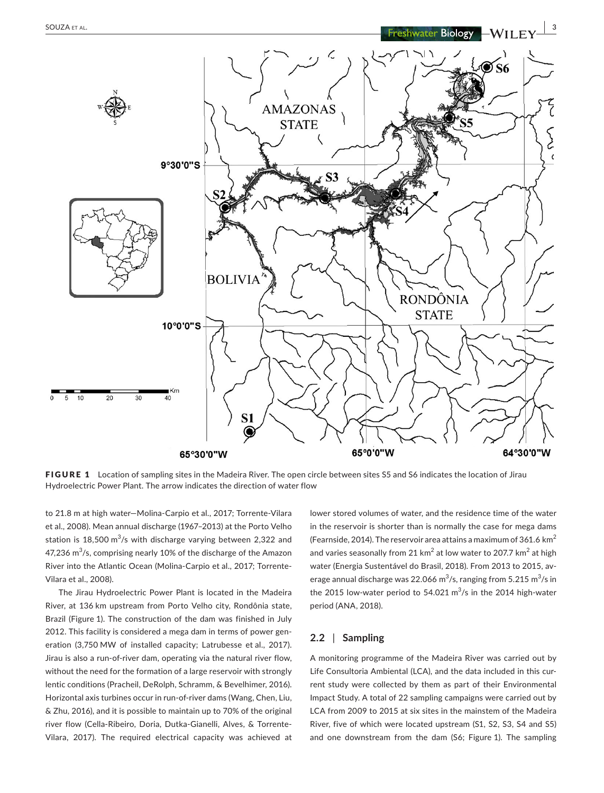

FIGURE 1 Location of sampling sites in the Madeira River. The open circle between sites S5 and S6 indicates the location of Jirau Hydroelectric Power Plant. The arrow indicates the direction of water flow

to 21.8 m at high water—Molina-Carpio et al., 2017; Torrente-Vilara et al., 2008). Mean annual discharge (1967–2013) at the Porto Velho station is 18,500 m $^3$ /s with discharge varying between 2,322 and 47,236 m $^3$ /s, comprising nearly 10% of the discharge of the Amazon River into the Atlantic Ocean (Molina-Carpio et al., 2017; Torrente-Vilara et al., 2008).

The Jirau Hydroelectric Power Plant is located in the Madeira River, at 136 km upstream from Porto Velho city, Rondônia state, Brazil (Figure 1). The construction of the dam was finished in July 2012. This facility is considered a mega dam in terms of power generation (3,750 MW of installed capacity; Latrubesse et al., 2017). Jirau is also a run-of-river dam, operating via the natural river flow, without the need for the formation of a large reservoir with strongly lentic conditions (Pracheil, DeRolph, Schramm, & Bevelhimer, 2016). Horizontal axis turbines occur in run-of-river dams (Wang, Chen, Liu, & Zhu, 2016), and it is possible to maintain up to 70% of the original river flow (Cella-Ribeiro, Doria, Dutka-Gianelli, Alves, & Torrente-Vilara, 2017). The required electrical capacity was achieved at lower stored volumes of water, and the residence time of the water in the reservoir is shorter than is normally the case for mega dams (Fearnside, 2014). The reservoir area attains a maximum of 361.6  $km^2$ and varies seasonally from 21  $km^2$  at low water to 207.7  $km^2$  at high water (Energia Sustentável do Brasil, 2018). From 2013 to 2015, average annual discharge was 22.066  $\mathrm{m}^3/\mathrm{s}$ , ranging from 5.215  $\mathrm{m}^3/\mathrm{s}$  in the 2015 low-water period to  $54.021 \text{ m}^3/\text{s}$  in the 2014 high-water period (ANA, 2018).

## **2.2** | **Sampling**

A monitoring programme of the Madeira River was carried out by Life Consultoria Ambiental (LCA), and the data included in this current study were collected by them as part of their Environmental Impact Study. A total of 22 sampling campaigns were carried out by LCA from 2009 to 2015 at six sites in the mainstem of the Madeira River, five of which were located upstream (S1, S2, S3, S4 and S5) and one downstream from the dam (S6; Figure 1). The sampling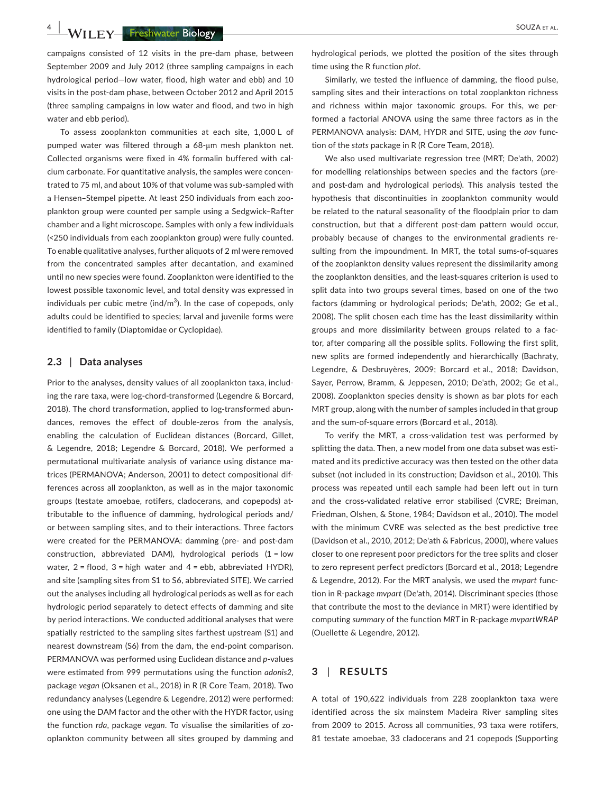**4 |**  SOUZA et al.

campaigns consisted of 12 visits in the pre-dam phase, between September 2009 and July 2012 (three sampling campaigns in each hydrological period—low water, flood, high water and ebb) and 10 visits in the post-dam phase, between October 2012 and April 2015 (three sampling campaigns in low water and flood, and two in high water and ebb period).

To assess zooplankton communities at each site, 1,000 L of pumped water was filtered through a 68-μm mesh plankton net. Collected organisms were fixed in 4% formalin buffered with calcium carbonate. For quantitative analysis, the samples were concentrated to 75 ml, and about 10% of that volume was sub-sampled with a Hensen–Stempel pipette. At least 250 individuals from each zooplankton group were counted per sample using a Sedgwick–Rafter chamber and a light microscope. Samples with only a few individuals (<250 individuals from each zooplankton group) were fully counted. To enable qualitative analyses, further aliquots of 2 ml were removed from the concentrated samples after decantation, and examined until no new species were found. Zooplankton were identified to the lowest possible taxonomic level, and total density was expressed in individuals per cubic metre (ind/m $^3$ ). In the case of copepods, only adults could be identified to species; larval and juvenile forms were identified to family (Diaptomidae or Cyclopidae).

## **2.3** | **Data analyses**

Prior to the analyses, density values of all zooplankton taxa, including the rare taxa, were log-chord-transformed (Legendre & Borcard, 2018). The chord transformation, applied to log-transformed abundances, removes the effect of double-zeros from the analysis, enabling the calculation of Euclidean distances (Borcard, Gillet, & Legendre, 2018; Legendre & Borcard, 2018). We performed a permutational multivariate analysis of variance using distance matrices (PERMANOVA; Anderson, 2001) to detect compositional differences across all zooplankton, as well as in the major taxonomic groups (testate amoebae, rotifers, cladocerans, and copepods) attributable to the influence of damming, hydrological periods and/ or between sampling sites, and to their interactions. Three factors were created for the PERMANOVA: damming (pre- and post-dam construction, abbreviated DAM), hydrological periods (1 = low water,  $2 =$  flood,  $3 =$  high water and  $4 =$  ebb, abbreviated HYDR), and site (sampling sites from S1 to S6, abbreviated SITE). We carried out the analyses including all hydrological periods as well as for each hydrologic period separately to detect effects of damming and site by period interactions. We conducted additional analyses that were spatially restricted to the sampling sites farthest upstream (S1) and nearest downstream (S6) from the dam, the end-point comparison. PERMANOVA was performed using Euclidean distance and *p*-values were estimated from 999 permutations using the function *adonis2*, package *vegan* (Oksanen et al., 2018) in R (R Core Team, 2018). Two redundancy analyses (Legendre & Legendre, 2012) were performed: one using the DAM factor and the other with the HYDR factor, using the function *rda*, package *vegan*. To visualise the similarities of zooplankton community between all sites grouped by damming and

hydrological periods, we plotted the position of the sites through time using the R function *plot*.

Similarly, we tested the influence of damming, the flood pulse, sampling sites and their interactions on total zooplankton richness and richness within major taxonomic groups. For this, we performed a factorial ANOVA using the same three factors as in the PERMANOVA analysis: DAM, HYDR and SITE, using the *aov* function of the *stats* package in R (R Core Team, 2018).

We also used multivariate regression tree (MRT; De'ath, 2002) for modelling relationships between species and the factors (preand post-dam and hydrological periods). This analysis tested the hypothesis that discontinuities in zooplankton community would be related to the natural seasonality of the floodplain prior to dam construction, but that a different post-dam pattern would occur, probably because of changes to the environmental gradients resulting from the impoundment. In MRT, the total sums-of-squares of the zooplankton density values represent the dissimilarity among the zooplankton densities, and the least-squares criterion is used to split data into two groups several times, based on one of the two factors (damming or hydrological periods; De'ath, 2002; Ge et al., 2008). The split chosen each time has the least dissimilarity within groups and more dissimilarity between groups related to a factor, after comparing all the possible splits. Following the first split, new splits are formed independently and hierarchically (Bachraty, Legendre, & Desbruyères, 2009; Borcard et al., 2018; Davidson, Sayer, Perrow, Bramm, & Jeppesen, 2010; De'ath, 2002; Ge et al., 2008). Zooplankton species density is shown as bar plots for each MRT group, along with the number of samples included in that group and the sum-of-square errors (Borcard et al., 2018).

To verify the MRT, a cross-validation test was performed by splitting the data. Then, a new model from one data subset was estimated and its predictive accuracy was then tested on the other data subset (not included in its construction; Davidson et al., 2010). This process was repeated until each sample had been left out in turn and the cross-validated relative error stabilised (CVRE; Breiman, Friedman, Olshen, & Stone, 1984; Davidson et al., 2010). The model with the minimum CVRE was selected as the best predictive tree (Davidson et al., 2010, 2012; De'ath & Fabricus, 2000), where values closer to one represent poor predictors for the tree splits and closer to zero represent perfect predictors (Borcard et al., 2018; Legendre & Legendre, 2012). For the MRT analysis, we used the *mvpart* function in R-package *mvpart* (De'ath, 2014). Discriminant species (those that contribute the most to the deviance in MRT) were identified by computing *summary* of the function *MRT* in R-package *mvpartWRAP* (Ouellette & Legendre, 2012).

# **3** | **RESULTS**

A total of 190,622 individuals from 228 zooplankton taxa were identified across the six mainstem Madeira River sampling sites from 2009 to 2015. Across all communities, 93 taxa were rotifers, 81 testate amoebae, 33 cladocerans and 21 copepods (Supporting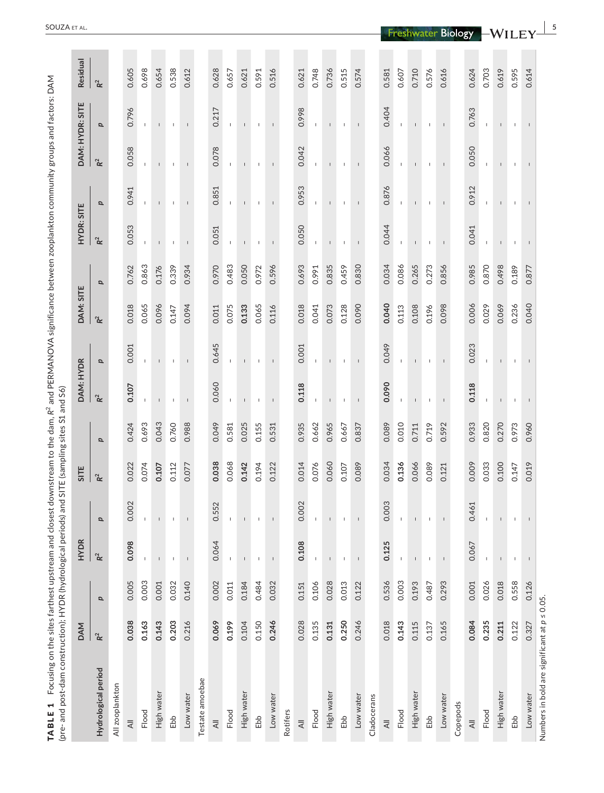| (pre- and post-dam construction); HYDR (hydrological periods) and SITE (sampling sites S1 and S6) |                |       |                          |                          |                |                           |                          |                          |                |       |                          |                |                          |                 |                |
|---------------------------------------------------------------------------------------------------|----------------|-------|--------------------------|--------------------------|----------------|---------------------------|--------------------------|--------------------------|----------------|-------|--------------------------|----------------|--------------------------|-----------------|----------------|
|                                                                                                   | <b>DAM</b>     |       | <b>HYDR</b>              |                          | SITE           |                           | DAM: HYDR                |                          | DAM: SITE      |       | HYDR: SITE               |                |                          | DAM: HYDR: SITE | Residual       |
| Hydrological period                                                                               | $\mathsf{R}^2$ | p     | $\mathbf{R}^2$           | p                        | $\mathbf{R}^2$ | $\boldsymbol{\mathsf{a}}$ | $\mathbf{R}^2$           | p                        | $\mathbf{R}^2$ | p     | $\mathbf{R}^2$           | p              | $\mathbf{R}^2$           | p               | $\mathbf{R}^2$ |
| All zooplankton                                                                                   |                |       |                          |                          |                |                           |                          |                          |                |       |                          |                |                          |                 |                |
| $\overline{\preccurlyeq}$                                                                         | 0.038          | 0.005 | 0.098                    | 0.002                    | 0.022          | 0.424                     | 0.107                    | 0.001                    | 0.018          | 0.762 | 0.053                    | 0.941          | 0.058                    | 0.796           | 0.605          |
| Flood                                                                                             | 0.163          | 0.003 | $\mathbf{I}$             | Τ.                       | 0.074          | 0.693                     |                          |                          | 0.065          | 0.863 |                          |                |                          |                 | 0.698          |
| High water                                                                                        | 0.143          | 0.001 |                          |                          | 0.107          | 0.043                     | $\mathbf{I}$             |                          | 0.096          | 0.176 |                          | $\mathbf{I}$   |                          |                 | 0.654          |
| Ebb                                                                                               | 0.203          | 0.032 |                          | $\overline{1}$           | 0.112          | 0.760                     |                          |                          | 0.147          | 0.339 |                          |                |                          | -1              | 0.538          |
| Low water                                                                                         | 0.216          | 0.140 |                          |                          | 0.077          | 0.988                     | $\mathsf{L}$             | $\mathbf{I}$             | 0.094          | 0.934 | $\mathbf{I}$             | $\mathbf{I}$   | $\mathsf{L}$             |                 | 0.612          |
| Testate amoebae                                                                                   |                |       |                          |                          |                |                           |                          |                          |                |       |                          |                |                          |                 |                |
| $\equiv$                                                                                          | 0.069          | 0.002 | 0.064                    | 0.552                    | 0.038          | 0.049                     | 0.060                    | 0.645                    | 0.011          | 0.970 | 0.051                    | 0.851          | 0.078                    | 0.217           | 0.628          |
| Flood                                                                                             | 0.199          | 0.011 | J.                       | $\mathbf{I}$             | 0.068          | 0.581                     |                          |                          | 0.075          | 0.483 |                          | $\mathbf{I}$   |                          |                 | 0.657          |
| High water                                                                                        | 0.104          | 0.184 | $\overline{\phantom{a}}$ | $\mathbf{I}$             | 0.142          | 0.025                     | $\mathbf{I}$             | $\mathbf{I}$             | 0.133          | 0.050 | $\mathbf{I}$             | $\mathbf{I}$   | $\mathbf{I}$             | $\mathsf{I}$    | 0.621          |
| Ebb                                                                                               | 0.150          | 0.484 | $\mathbf{I}$             | $\mathbf{I}$             | 0.194          | 0.155                     | т.                       | $\mathbf{I}$             | 0.065          | 0.972 | $\mathbf{I}$             | л.             | $\mathbf{I}$             | $\mathbf{I}$    | 0.591          |
| Low water                                                                                         | 0.246          | 0.032 | $\overline{1}$           | $\,$ $\,$                | 0.122          | 0.531                     | $\overline{\phantom{a}}$ | $\overline{\phantom{a}}$ | 0.116          | 0.596 | $\overline{\phantom{a}}$ | $\blacksquare$ | $\mathbf{I}$             | $\mathbf{I}$    | 0.516          |
| Rotifers                                                                                          |                |       |                          |                          |                |                           |                          |                          |                |       |                          |                |                          |                 |                |
| $\overline{\leq}$                                                                                 | 0.028          | 0.151 | 0.108                    | 0.002                    | 0.014          | 0.935                     | 0.118                    | 0.001                    | 0.018          | 0.693 | 0.050                    | 0.953          | 0.042                    | 0.998           | 0.621          |
| Flood                                                                                             | 0.135          | 0.106 | $\mathbf{I}$             | J.                       | 0.076          | 0.662                     |                          | $\mathbf{I}$             | 0.041          | 0.991 |                          | $\mathbf{I}$   | $\mathsf I$              |                 | 0.748          |
| High water                                                                                        | 0.131          | 0.028 | $\mathbf{I}$             | $\mathbf{I}$             | 0.060          | 0.965                     | т                        | $\mathbf{L}$             | 0.073          | 0.835 | $\mathbb T$              | $\mathbf{L}$   | $\mathbb{L}$             | т.              | 0.736          |
| Ebb                                                                                               | 0.250          | 0.013 | Τ.                       | L.                       | 0.107          | 0.667                     | Τ.                       | L.                       | 0.128          | 0.459 | т.                       | $\mathbf{L}$   | $\mathbf{I}$             | т.              | 0.515          |
| Low water                                                                                         | 0.246          | 0.122 | $\mathbf{I}$             | $\overline{\phantom{a}}$ | 0.089          | 0.837                     | -1                       | $\mathbf{I}$             | 0.090          | 0.830 | -1                       | $\mathbf{I}$   | $\mathbf{I}$             | $\mathbf{I}$    | 0.574          |
| Cladocerans                                                                                       |                |       |                          |                          |                |                           |                          |                          |                |       |                          |                |                          |                 |                |
| $\overline{\preccurlyeq}$                                                                         | 0.018          | 0.536 | 0.125                    | 0.003                    | 0.034          | 0.089                     | 0.090                    | 0.049                    | 0.040          | 0.034 | 0.044                    | 0.876          | 0.066                    | 0.404           | 0.581          |
| Flood                                                                                             | 0.143          | 0.003 | $\mathbf{I}$             | $\mathbf{I}$             | 0.136          | 0.010                     |                          | $\mathbf{I}$             | 0.113          | 0.086 |                          | $\mathbf{I}$   |                          | $\mathbf{L}$    | 0.607          |
| High water                                                                                        | 0.115          | 0.193 | $\mathbf{I}$             |                          | 0.066          | 0.711                     | т                        | $\mathbf{I}$             | 0.108          | 0.265 | $\mathsf I$              | $\mathbf{I}$   | т                        | $\mathbf{I}$    | 0.710          |
| Ebb                                                                                               | 0.137          | 0.487 | $\overline{\phantom{a}}$ |                          | 0.089          | 0.719                     |                          |                          | 0.196          | 0.273 | $\mathbf{I}$             | $\mathbf{I}$   | $\overline{\phantom{a}}$ |                 | 0.576          |
| Low water                                                                                         | 0.165          | 0.293 | $\mathsf I$              | $\mathsf I$              | 0.121          | 0.592                     | $\mathbf{I}$             | $\perp$                  | 0.098          | 0.856 | $\perp$                  | $\perp$        | $\perp$                  | $\perp$         | 0.616          |
| Copepods                                                                                          |                |       |                          |                          |                |                           |                          |                          |                |       |                          |                |                          |                 |                |
| $\overline{\approx}$                                                                              | 0.084          | 0.001 | 0.067                    | 0.461                    | 0.009          | 0.933                     | 0.118                    | 0.023                    | 0.006          | 0.985 | 0.041                    | 0.912          | 0.050                    | 0.763           | 0.624          |
| Flood                                                                                             | 0.235          | 0.026 |                          |                          | 0.033          | 0.820                     |                          |                          | 0.029          | 0.870 |                          |                |                          |                 | 0.703          |
| High water                                                                                        | 0.211          | 0.018 |                          |                          | 0.100          | 0.270                     |                          |                          | 0.069          | 0.498 | $\mathbf{I}$             | $\mathbf{I}$   | $\mathbf{I}$             |                 | 0.619          |
| Ebb                                                                                               | 0.122          | 0.558 | $\mathbf{I}$             |                          | 0.147          | 0.973                     |                          |                          | 0.236          | 0.189 |                          | $\mathbf{I}$   | $\mathbf{I}$             |                 | 0.595          |
| Low water                                                                                         | 0.327          | 0.126 |                          |                          | 0.019          | 0.960                     |                          | $\mathbf{I}$             | 0.040          | 0.877 |                          | $\mathbf{I}$   | $\mathbf{I}$             |                 | 0.614          |
| Numbers in bold are significant at $p \leq 0.05$ .                                                |                |       |                          |                          |                |                           |                          |                          |                |       |                          |                |                          |                 |                |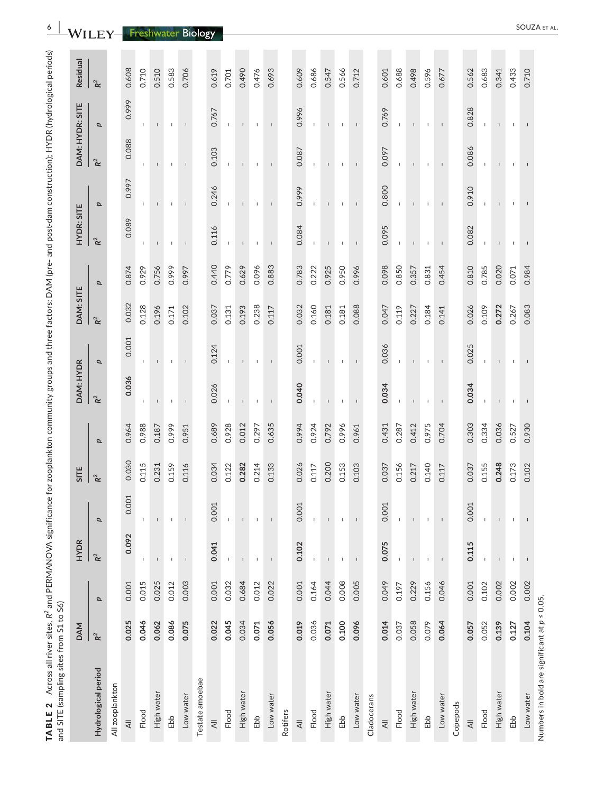| and SITE (sampling sites from S1 to S6)            |                |       |                          |                |                |       |                |                          |                |                         |                   |                          |                          |                          |                |
|----------------------------------------------------|----------------|-------|--------------------------|----------------|----------------|-------|----------------|--------------------------|----------------|-------------------------|-------------------|--------------------------|--------------------------|--------------------------|----------------|
|                                                    | <b>DAM</b>     |       | HYDR                     |                | SITE           |       | DAM: HYDR      |                          | DAM: SITE      |                         | <b>HYDR: SITE</b> |                          | DAM: HYDR: SITE          |                          | Residual       |
| Hydrological period                                | $\mathsf{R}^2$ | p     | $R^2$                    | p              | R <sup>2</sup> | p     | $\mathsf{R}^2$ | p                        | $\mathbf{R}^2$ | $\overline{\mathbf{a}}$ | $\mathsf{R}^2$    | p                        | $\mathbf{R}^2$           | $\overline{\mathbf{a}}$  | $\mathbf{R}^2$ |
| All zooplankton                                    |                |       |                          |                |                |       |                |                          |                |                         |                   |                          |                          |                          |                |
| $\equiv$                                           | 0.025          | 0.001 | 0.092                    | 0.001          | 0.030          | 0.964 | 0.036          | 0.001                    | 0.032          | 0.874                   | 0.089             | 0.997                    | 0.088                    | 0.999                    | 0.608          |
| Flood                                              | 0.046          | 0.015 | ı                        | $\mathsf I$    | 0.115          | 0.988 |                |                          | 0.128          | 0.929                   | L                 | L                        |                          | L                        | 0.710          |
| High water                                         | 0.062          | 0.025 |                          |                | 0.231          | 0.187 |                |                          | 0.196          | 0.756                   |                   |                          |                          |                          | 0.510          |
| Ebb                                                | 0.086          | 0.012 | I                        | ı              | 0.159          | 0.999 |                |                          | 0.171          | 0.999                   |                   |                          |                          |                          | 0.583          |
| Low water                                          | 0.075          | 0.003 | $\mathsf I$              | $\mathsf I$    | 0.116          | 0.951 |                | $\mathbf{I}$             | 0.102          | 0.997                   |                   | $\mathbf{I}$             | $\mathbf{I}$             | $\mathbf{I}$             | 0.706          |
| Testate amoebae                                    |                |       |                          |                |                |       |                |                          |                |                         |                   |                          |                          |                          |                |
| $\overline{\preccurlyeq}$                          | 0.022          | 0.001 | 0.041                    | 0.001          | 0.034          | 0.689 | 0.026          | 0.124                    | 0.037          | 0.440                   | 0.116             | 0.246                    | 0.103                    | 0.767                    | 0.619          |
| Flood                                              | 0.045          | 0.032 |                          |                | 0.122          | 0.928 |                |                          | 0.131          | 0.779                   |                   |                          |                          |                          | 0.701          |
| High water                                         | 0.034          | 0.684 |                          |                | 0.282          | 0.012 |                |                          | 0.193          | 0.629                   |                   |                          |                          |                          | 0.490          |
| Ebb                                                | 0.071          | 0.012 | $\mathsf I$              | $\mathbf{I}$   | 0.214          | 0.297 | $\mathbf{I}$   |                          | 0.238          | 0.096                   | $\overline{1}$    |                          | $\mathbf{I}$             |                          | 0.476          |
| Low water                                          | 0.056          | 0.022 | $\mathsf I$              | $\mathsf I$    | 0.133          | 0.635 | $\mathsf I$    | $\mathsf I$              | 0.117          | 0.883                   | $\mathsf I$       | $\mathsf I$              |                          | $\mathsf I$              | 0.693          |
| Rotifers                                           |                |       |                          |                |                |       |                |                          |                |                         |                   |                          |                          |                          |                |
| $\overline{\leq}$                                  | 0.019          | 0.001 | 0.102                    | 0.001          | 0.026          | 0.994 | 0.040          | 0.001                    | 0.032          | 0.783                   | 0.084             | 0.999                    | 0.087                    | 0.996                    | 0.609          |
| Flood                                              | 0.036          | 0.164 | 1                        | $\mathsf I$    | 0.117          | 0.924 |                |                          | 0.160          | 0.222                   |                   | $\mathbb{L}$             |                          |                          | 0.686          |
| High water                                         | 0.071          | 0.044 |                          |                | 0.200          | 0.792 |                |                          | 0.181          | 0.925                   |                   |                          |                          |                          | 0.547          |
| Ebb                                                | 0.100          | 0.008 | J.                       |                | 0.153          | 0.996 |                |                          | 0.181          | 0.950                   |                   |                          |                          |                          | 0.566          |
| Low water                                          | 0.096          | 0.005 | $\overline{\phantom{a}}$ |                | 0.103          | 0.961 |                |                          | 0.088          | 0.996                   |                   |                          |                          |                          | 0.712          |
| Cladocerans                                        |                |       |                          |                |                |       |                |                          |                |                         |                   |                          |                          |                          |                |
| $\equiv$                                           | 0.014          | 0.049 | 0.075                    | 0.001          | 0.037          | 0.431 | 0.034          | 0.036                    | 0.047          | 0.098                   | 0.095             | 0.800                    | 0.097                    | 0.769                    | 0.601          |
| Flood                                              | 0.037          | 0.197 | $\mathbf{I}$             | $\mathbf{I}$   | 0.156          | 0.287 |                |                          | 0.119          | 0.850                   |                   |                          | J.                       |                          | 0.688          |
| High water                                         | 0.058          | 0.229 | $\mathsf{I}$             | $\mathsf I$    | 0.217          | 0.412 |                |                          | 0.227          | 0.357                   |                   |                          |                          |                          | 0.498          |
| Ebb                                                | 0.079          | 0.156 | Τ.                       | ı              | 0.140          | 0.975 |                |                          | 0.184          | 0.831                   |                   |                          |                          |                          | 0.596          |
| Low water                                          | 0.064          | 0.046 | $\overline{\phantom{a}}$ | $\overline{1}$ | 0.117          | 0.704 |                | $\overline{\phantom{a}}$ | 0.141          | 0.454                   |                   | $\overline{\phantom{a}}$ | $\overline{\phantom{a}}$ | $\overline{\phantom{a}}$ | 0.677          |
| Copepods                                           |                |       |                          |                |                |       |                |                          |                |                         |                   |                          |                          |                          |                |
| $\overline{\mathcal{A}}$                           | 0.057          | 0.001 | 0.115                    | 0.001          | 0.037          | 0.303 | 0.034          | 0.025                    | 0.026          | 0.810                   | 0.082             | 0.910                    | 0.086                    | 0.828                    | 0.562          |
| Flood                                              | 0.052          | 0.102 | J.                       |                | 0.155          | 0.334 |                |                          | 0.109          | 0.785                   |                   |                          |                          |                          | 0.683          |
| High water                                         | 0.139          | 0.002 |                          |                | 0.248          | 0.036 |                |                          | 0.272          | 0.020                   |                   |                          |                          |                          | 0.341          |
| Ebb                                                | 0.127          | 0.002 | $\mathbf{I}$             |                | 0.173          | 0.527 |                |                          | 0.267          | 0.071                   |                   |                          |                          |                          | 0.433          |
| Low water                                          | 0.104          | 0.002 |                          |                | 0.102          | 0.930 |                |                          | 0.083          | 0.984                   |                   |                          |                          |                          | 0.710          |
| Numbers in bold are significant at $p \leq 0.05$ . |                |       |                          |                |                |       |                |                          |                |                         |                   |                          |                          |                          |                |

AL.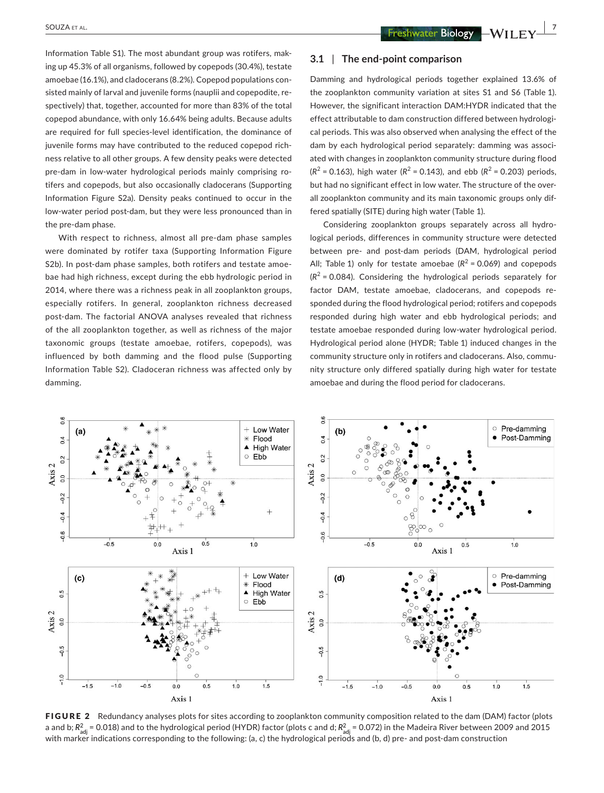**SOUZA** ET AL.  **2002A ET AL.**  $\frac{1}{2}$ 

Information Table S1). The most abundant group was rotifers, making up 45.3% of all organisms, followed by copepods (30.4%), testate amoebae (16.1%), and cladocerans (8.2%). Copepod populations consisted mainly of larval and juvenile forms (nauplii and copepodite, respectively) that, together, accounted for more than 83% of the total copepod abundance, with only 16.64% being adults. Because adults are required for full species-level identification, the dominance of juvenile forms may have contributed to the reduced copepod richness relative to all other groups. A few density peaks were detected pre-dam in low-water hydrological periods mainly comprising rotifers and copepods, but also occasionally cladocerans (Supporting Information Figure S2a). Density peaks continued to occur in the low-water period post-dam, but they were less pronounced than in the pre-dam phase.

With respect to richness, almost all pre-dam phase samples were dominated by rotifer taxa (Supporting Information Figure S2b). In post-dam phase samples, both rotifers and testate amoebae had high richness, except during the ebb hydrologic period in 2014, where there was a richness peak in all zooplankton groups, especially rotifers. In general, zooplankton richness decreased post-dam. The factorial ANOVA analyses revealed that richness of the all zooplankton together, as well as richness of the major taxonomic groups (testate amoebae, rotifers, copepods), was influenced by both damming and the flood pulse (Supporting Information Table S2). Cladoceran richness was affected only by damming.

## **3.1** | **The end-point comparison**

Damming and hydrological periods together explained 13.6% of the zooplankton community variation at sites S1 and S6 (Table 1). However, the significant interaction DAM:HYDR indicated that the effect attributable to dam construction differed between hydrological periods. This was also observed when analysing the effect of the dam by each hydrological period separately: damming was associated with changes in zooplankton community structure during flood  $(R^{2} = 0.163)$ , high water  $(R^{2} = 0.143)$ , and ebb  $(R^{2} = 0.203)$  periods, but had no significant effect in low water. The structure of the overall zooplankton community and its main taxonomic groups only differed spatially (SITE) during high water (Table 1).

Considering zooplankton groups separately across all hydrological periods, differences in community structure were detected between pre- and post-dam periods (DAM, hydrological period All; Table 1) only for testate amoebae  $(R^2 = 0.069)$  and copepods  $(R<sup>2</sup> = 0.084)$ . Considering the hydrological periods separately for factor DAM, testate amoebae, cladocerans, and copepods responded during the flood hydrological period; rotifers and copepods responded during high water and ebb hydrological periods; and testate amoebae responded during low-water hydrological period. Hydrological period alone (HYDR; Table 1) induced changes in the community structure only in rotifers and cladocerans. Also, community structure only differed spatially during high water for testate amoebae and during the flood period for cladocerans.



FIGURE 2 Redundancy analyses plots for sites according to zooplankton community composition related to the dam (DAM) factor (plots a and b;  $R^2_{\rm adj}$  = 0.018) and to the hydrological period (HYDR) factor (plots c and d;  $R^2_{\rm adj}$  = 0.072) in the Madeira River between 2009 and 2015 with marker indications corresponding to the following: (a, c) the hydrological periods and (b, d) pre- and post-dam construction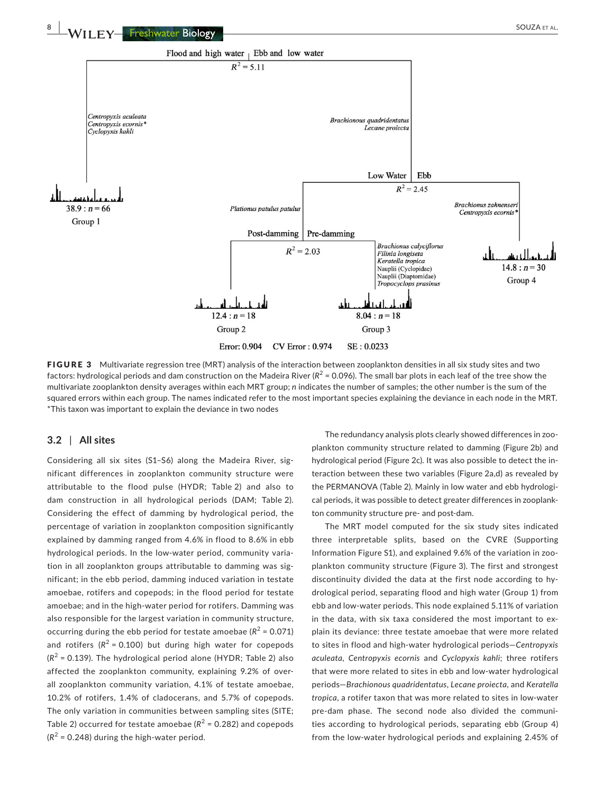

FIGURE 3 Multivariate regression tree (MRT) analysis of the interaction between zooplankton densities in all six study sites and two factors: hydrological periods and dam construction on the Madeira River  $(R^2 = 0.096)$ . The small bar plots in each leaf of the tree show the multivariate zooplankton density averages within each MRT group; *n* indicates the number of samples; the other number is the sum of the squared errors within each group. The names indicated refer to the most important species explaining the deviance in each node in the MRT. \*This taxon was important to explain the deviance in two nodes

## **3.2** | **All sites**

Considering all six sites (S1–S6) along the Madeira River, significant differences in zooplankton community structure were attributable to the flood pulse (HYDR; Table 2) and also to dam construction in all hydrological periods (DAM; Table 2). Considering the effect of damming by hydrological period, the percentage of variation in zooplankton composition significantly explained by damming ranged from 4.6% in flood to 8.6% in ebb hydrological periods. In the low-water period, community variation in all zooplankton groups attributable to damming was significant; in the ebb period, damming induced variation in testate amoebae, rotifers and copepods; in the flood period for testate amoebae; and in the high-water period for rotifers. Damming was also responsible for the largest variation in community structure, occurring during the ebb period for testate amoebae ( $R^2$  = 0.071) and rotifers  $(R^2 = 0.100)$  but during high water for copepods  $(R^2 = 0.139)$ . The hydrological period alone (HYDR; Table 2) also affected the zooplankton community, explaining 9.2% of overall zooplankton community variation, 4.1% of testate amoebae, 10.2% of rotifers, 1.4% of cladocerans, and 5.7% of copepods. The only variation in communities between sampling sites (SITE; Table 2) occurred for testate amoebae ( $R^2$  = 0.282) and copepods  $(R<sup>2</sup> = 0.248)$  during the high-water period.

The redundancy analysis plots clearly showed differences in zooplankton community structure related to damming (Figure 2b) and hydrological period (Figure 2c). It was also possible to detect the interaction between these two variables (Figure 2a,d) as revealed by the PERMANOVA (Table 2). Mainly in low water and ebb hydrological periods, it was possible to detect greater differences in zooplankton community structure pre- and post-dam.

The MRT model computed for the six study sites indicated three interpretable splits, based on the CVRE (Supporting Information Figure S1), and explained 9.6% of the variation in zooplankton community structure (Figure 3). The first and strongest discontinuity divided the data at the first node according to hydrological period, separating flood and high water (Group 1) from ebb and low-water periods. This node explained 5.11% of variation in the data, with six taxa considered the most important to explain its deviance: three testate amoebae that were more related to sites in flood and high-water hydrological periods—*Centropyxis aculeata*, *Centropyxis ecornis* and *Cyclopyxis kahli*; three rotifers that were more related to sites in ebb and low-water hydrological periods—*Brachionous quadridentatus*, *Lecane proiecta*, and *Keratella tropica*, a rotifer taxon that was more related to sites in low-water pre-dam phase. The second node also divided the communities according to hydrological periods, separating ebb (Group 4) from the low-water hydrological periods and explaining 2.45% of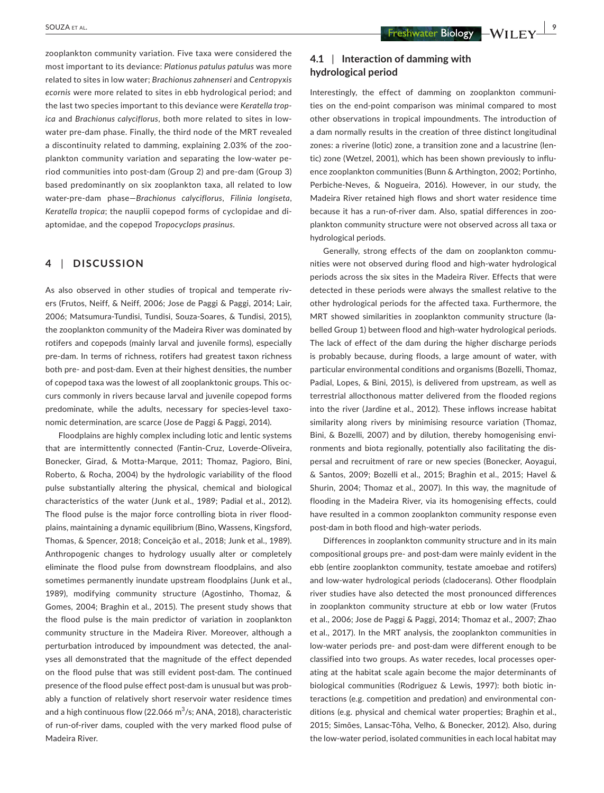zooplankton community variation. Five taxa were considered the most important to its deviance: *Plationus patulus patulus* was more related to sites in low water; *Brachionus zahnenseri* and *Centropyxis ecornis* were more related to sites in ebb hydrological period; and the last two species important to this deviance were *Keratella tropica* and *Brachionus calyciflorus*, both more related to sites in lowwater pre-dam phase. Finally, the third node of the MRT revealed a discontinuity related to damming, explaining 2.03% of the zooplankton community variation and separating the low-water period communities into post-dam (Group 2) and pre-dam (Group 3) based predominantly on six zooplankton taxa, all related to low water-pre-dam phase—*Brachionus calyciflorus*, *Filinia longiseta*, *Keratella tropica*; the nauplii copepod forms of cyclopidae and diaptomidae, and the copepod *Tropocyclops prasinus*.

## **4** | **DISCUSSION**

As also observed in other studies of tropical and temperate rivers (Frutos, Neiff, & Neiff, 2006; Jose de Paggi & Paggi, 2014; Lair, 2006; Matsumura-Tundisi, Tundisi, Souza-Soares, & Tundisi, 2015), the zooplankton community of the Madeira River was dominated by rotifers and copepods (mainly larval and juvenile forms), especially pre-dam. In terms of richness, rotifers had greatest taxon richness both pre- and post-dam. Even at their highest densities, the number of copepod taxa was the lowest of all zooplanktonic groups. This occurs commonly in rivers because larval and juvenile copepod forms predominate, while the adults, necessary for species-level taxonomic determination, are scarce (Jose de Paggi & Paggi, 2014).

Floodplains are highly complex including lotic and lentic systems that are intermittently connected (Fantin-Cruz, Loverde-Oliveira, Bonecker, Girad, & Motta-Marque, 2011; Thomaz, Pagioro, Bini, Roberto, & Rocha, 2004) by the hydrologic variability of the flood pulse substantially altering the physical, chemical and biological characteristics of the water (Junk et al., 1989; Padial et al., 2012). The flood pulse is the major force controlling biota in river floodplains, maintaining a dynamic equilibrium (Bino, Wassens, Kingsford, Thomas, & Spencer, 2018; Conceição et al., 2018; Junk et al., 1989). Anthropogenic changes to hydrology usually alter or completely eliminate the flood pulse from downstream floodplains, and also sometimes permanently inundate upstream floodplains (Junk et al., 1989), modifying community structure (Agostinho, Thomaz, & Gomes, 2004; Braghin et al., 2015). The present study shows that the flood pulse is the main predictor of variation in zooplankton community structure in the Madeira River. Moreover, although a perturbation introduced by impoundment was detected, the analyses all demonstrated that the magnitude of the effect depended on the flood pulse that was still evident post-dam. The continued presence of the flood pulse effect post-dam is unusual but was probably a function of relatively short reservoir water residence times and a high continuous flow (22.066 m $^3\!/\mathrm{s};$  ANA, 2018), characteristic of run-of-river dams, coupled with the very marked flood pulse of Madeira River.

# **4.1** | **Interaction of damming with hydrological period**

Interestingly, the effect of damming on zooplankton communities on the end-point comparison was minimal compared to most other observations in tropical impoundments. The introduction of a dam normally results in the creation of three distinct longitudinal zones: a riverine (lotic) zone, a transition zone and a lacustrine (lentic) zone (Wetzel, 2001), which has been shown previously to influence zooplankton communities (Bunn & Arthington, 2002; Portinho, Perbiche‐Neves, & Nogueira, 2016). However, in our study, the Madeira River retained high flows and short water residence time because it has a run-of-river dam. Also, spatial differences in zooplankton community structure were not observed across all taxa or hydrological periods.

Generally, strong effects of the dam on zooplankton communities were not observed during flood and high-water hydrological periods across the six sites in the Madeira River. Effects that were detected in these periods were always the smallest relative to the other hydrological periods for the affected taxa. Furthermore, the MRT showed similarities in zooplankton community structure (labelled Group 1) between flood and high-water hydrological periods. The lack of effect of the dam during the higher discharge periods is probably because, during floods, a large amount of water, with particular environmental conditions and organisms (Bozelli, Thomaz, Padial, Lopes, & Bini, 2015), is delivered from upstream, as well as terrestrial allocthonous matter delivered from the flooded regions into the river (Jardine et al., 2012). These inflows increase habitat similarity along rivers by minimising resource variation (Thomaz, Bini, & Bozelli, 2007) and by dilution, thereby homogenising environments and biota regionally, potentially also facilitating the dispersal and recruitment of rare or new species (Bonecker, Aoyagui, & Santos, 2009; Bozelli et al., 2015; Braghin et al., 2015; Havel & Shurin, 2004; Thomaz et al., 2007). In this way, the magnitude of flooding in the Madeira River, via its homogenising effects, could have resulted in a common zooplankton community response even post-dam in both flood and high-water periods.

Differences in zooplankton community structure and in its main compositional groups pre- and post-dam were mainly evident in the ebb (entire zooplankton community, testate amoebae and rotifers) and low-water hydrological periods (cladocerans). Other floodplain river studies have also detected the most pronounced differences in zooplankton community structure at ebb or low water (Frutos et al., 2006; Jose de Paggi & Paggi, 2014; Thomaz et al., 2007; Zhao et al., 2017). In the MRT analysis, the zooplankton communities in low-water periods pre- and post-dam were different enough to be classified into two groups. As water recedes, local processes operating at the habitat scale again become the major determinants of biological communities (Rodriguez & Lewis, 1997): both biotic interactions (e.g. competition and predation) and environmental conditions (e.g. physical and chemical water properties; Braghin et al., 2015; Simões, Lansac-Tôha, Velho, & Bonecker, 2012). Also, during the low-water period, isolated communities in each local habitat may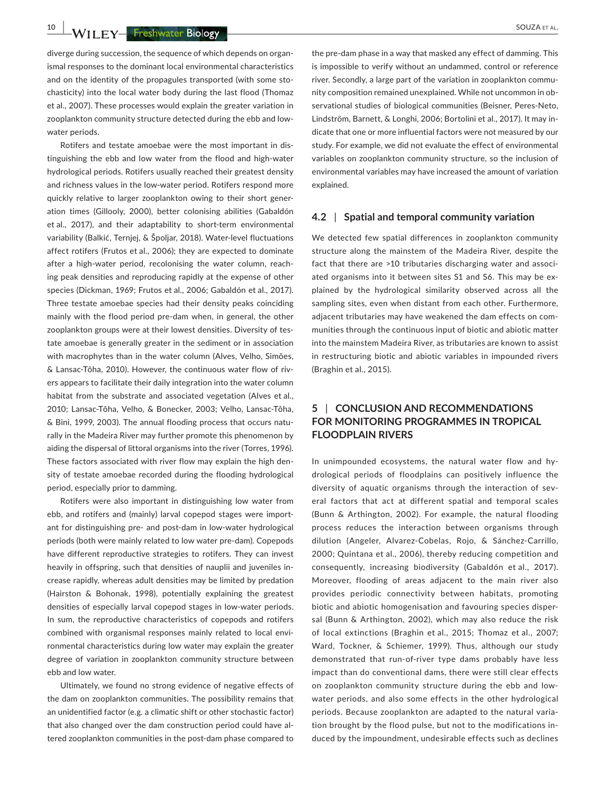**10 WII FY** Freshwater Biology **Account 2008** SOUZA ET AL.

diverge during succession, the sequence of which depends on organismal responses to the dominant local environmental characteristics and on the identity of the propagules transported (with some stochasticity) into the local water body during the last flood (Thomaz et al., 2007). These processes would explain the greater variation in zooplankton community structure detected during the ebb and lowwater periods.

Rotifers and testate amoebae were the most important in distinguishing the ebb and low water from the flood and high-water hydrological periods. Rotifers usually reached their greatest density and richness values in the low-water period. Rotifers respond more quickly relative to larger zooplankton owing to their short generation times (Gillooly, 2000), better colonising abilities (Gabaldón et al., 2017), and their adaptability to short-term environmental variability (Balkić, Ternjej, & Špoljar, 2018). Water-level fluctuations affect rotifers (Frutos et al., 2006); they are expected to dominate after a high-water period, recolonising the water column, reaching peak densities and reproducing rapidly at the expense of other species (Dickman, 1969; Frutos et al., 2006; Gabaldón et al., 2017). Three testate amoebae species had their density peaks coinciding mainly with the flood period pre-dam when, in general, the other zooplankton groups were at their lowest densities. Diversity of testate amoebae is generally greater in the sediment or in association with macrophytes than in the water column (Alves, Velho, Simões, & Lansac-Tôha, 2010). However, the continuous water flow of rivers appears to facilitate their daily integration into the water column habitat from the substrate and associated vegetation (Alves et al., 2010; Lansac-Tôha, Velho, & Bonecker, 2003; Velho, Lansac-Tôha, & Bini, 1999, 2003). The annual flooding process that occurs naturally in the Madeira River may further promote this phenomenon by aiding the dispersal of littoral organisms into the river (Torres, 1996). These factors associated with river flow may explain the high density of testate amoebae recorded during the flooding hydrological period, especially prior to damming.

Rotifers were also important in distinguishing low water from ebb, and rotifers and (mainly) larval copepod stages were important for distinguishing pre- and post-dam in low-water hydrological periods (both were mainly related to low water pre-dam). Copepods have different reproductive strategies to rotifers. They can invest heavily in offspring, such that densities of nauplii and juveniles increase rapidly, whereas adult densities may be limited by predation (Hairston & Bohonak, 1998), potentially explaining the greatest densities of especially larval copepod stages in low-water periods. In sum, the reproductive characteristics of copepods and rotifers combined with organismal responses mainly related to local environmental characteristics during low water may explain the greater degree of variation in zooplankton community structure between ebb and low water.

Ultimately, we found no strong evidence of negative effects of the dam on zooplankton communities. The possibility remains that an unidentified factor (e.g. a climatic shift or other stochastic factor) that also changed over the dam construction period could have altered zooplankton communities in the post-dam phase compared to

the pre-dam phase in a way that masked any effect of damming. This is impossible to verify without an undammed, control or reference river. Secondly, a large part of the variation in zooplankton community composition remained unexplained. While not uncommon in observational studies of biological communities (Beisner, Peres-Neto, Lindström, Barnett, & Longhi, 2006; Bortolini et al., 2017). It may indicate that one or more influential factors were not measured by our study. For example, we did not evaluate the effect of environmental variables on zooplankton community structure, so the inclusion of environmental variables may have increased the amount of variation explained.

## **4.2** | **Spatial and temporal community variation**

We detected few spatial differences in zooplankton community structure along the mainstem of the Madeira River, despite the fact that there are >10 tributaries discharging water and associated organisms into it between sites S1 and S6. This may be explained by the hydrological similarity observed across all the sampling sites, even when distant from each other. Furthermore, adjacent tributaries may have weakened the dam effects on communities through the continuous input of biotic and abiotic matter into the mainstem Madeira River, as tributaries are known to assist in restructuring biotic and abiotic variables in impounded rivers (Braghin et al., 2015).

# **5** | **CONCLUSION AND RECOMMENDATIONS FOR MONITORING PROGRAMMES IN TROPICAL FLOODPLAIN RIVERS**

In unimpounded ecosystems, the natural water flow and hydrological periods of floodplains can positively influence the diversity of aquatic organisms through the interaction of several factors that act at different spatial and temporal scales (Bunn & Arthington, 2002). For example, the natural flooding process reduces the interaction between organisms through dilution (Angeler, Alvarez-Cobelas, Rojo, & Sánchez-Carrillo, 2000; Quintana et al., 2006), thereby reducing competition and consequently, increasing biodiversity (Gabaldón et al., 2017). Moreover, flooding of areas adjacent to the main river also provides periodic connectivity between habitats, promoting biotic and abiotic homogenisation and favouring species dispersal (Bunn & Arthington, 2002), which may also reduce the risk of local extinctions (Braghin et al., 2015; Thomaz et al., 2007; Ward, Tockner, & Schiemer, 1999). Thus, although our study demonstrated that run-of-river type dams probably have less impact than do conventional dams, there were still clear effects on zooplankton community structure during the ebb and lowwater periods, and also some effects in the other hydrological periods. Because zooplankton are adapted to the natural variation brought by the flood pulse, but not to the modifications induced by the impoundment, undesirable effects such as declines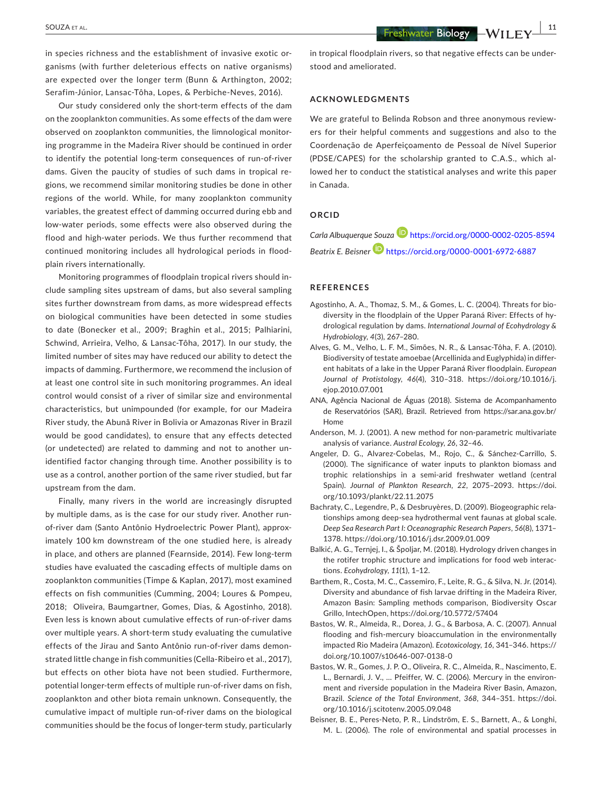**|** SOUZA et al. **11**

in species richness and the establishment of invasive exotic organisms (with further deleterious effects on native organisms) are expected over the longer term (Bunn & Arthington, 2002; Serafim-Júnior, Lansac-Tôha, Lopes, & Perbiche-Neves, 2016).

Our study considered only the short-term effects of the dam on the zooplankton communities. As some effects of the dam were observed on zooplankton communities, the limnological monitoring programme in the Madeira River should be continued in order to identify the potential long-term consequences of run-of-river dams. Given the paucity of studies of such dams in tropical regions, we recommend similar monitoring studies be done in other regions of the world. While, for many zooplankton community variables, the greatest effect of damming occurred during ebb and low-water periods, some effects were also observed during the flood and high-water periods. We thus further recommend that continued monitoring includes all hydrological periods in floodplain rivers internationally.

Monitoring programmes of floodplain tropical rivers should include sampling sites upstream of dams, but also several sampling sites further downstream from dams, as more widespread effects on biological communities have been detected in some studies to date (Bonecker et al., 2009; Braghin et al., 2015; Palhiarini, Schwind, Arrieira, Velho, & Lansac-Tôha, 2017). In our study, the limited number of sites may have reduced our ability to detect the impacts of damming. Furthermore, we recommend the inclusion of at least one control site in such monitoring programmes. An ideal control would consist of a river of similar size and environmental characteristics, but unimpounded (for example, for our Madeira River study, the Abunã River in Bolivia or Amazonas River in Brazil would be good candidates), to ensure that any effects detected (or undetected) are related to damming and not to another unidentified factor changing through time. Another possibility is to use as a control, another portion of the same river studied, but far upstream from the dam.

Finally, many rivers in the world are increasingly disrupted by multiple dams, as is the case for our study river. Another runof-river dam (Santo Antônio Hydroelectric Power Plant), approximately 100 km downstream of the one studied here, is already in place, and others are planned (Fearnside, 2014). Few long-term studies have evaluated the cascading effects of multiple dams on zooplankton communities (Timpe & Kaplan, 2017), most examined effects on fish communities (Cumming, 2004; Loures & Pompeu, 2018; Oliveira, Baumgartner, Gomes, Dias, & Agostinho, 2018). Even less is known about cumulative effects of run-of-river dams over multiple years. A short-term study evaluating the cumulative effects of the Jirau and Santo Antônio run-of-river dams demonstrated little change in fish communities (Cella-Ribeiro et al., 2017), but effects on other biota have not been studied. Furthermore, potential longer-term effects of multiple run-of-river dams on fish, zooplankton and other biota remain unknown. Consequently, the cumulative impact of multiple run-of-river dams on the biological communities should be the focus of longer-term study, particularly

in tropical floodplain rivers, so that negative effects can be understood and ameliorated.

#### **ACKNOWLEDGMENTS**

We are grateful to Belinda Robson and three anonymous reviewers for their helpful comments and suggestions and also to the Coordenação de Aperfeiçoamento de Pessoal de Nível Superior (PDSE/CAPES) for the scholarship granted to C.A.S., which allowed her to conduct the statistical analyses and write this paper in Canada.

## **ORCID**

*Carla Albuquerque Souza* <https://orcid.org/0000-0002-0205-8594> *Beatrix E. Beisne[r](https://orcid.org/0000-0001-6972-6887)* <https://orcid.org/0000-0001-6972-6887>

#### **REFERENCES**

- Agostinho, A. A., Thomaz, S. M., & Gomes, L. C. (2004). Threats for biodiversity in the floodplain of the Upper Paraná River: Effects of hydrological regulation by dams. *International Journal of Ecohydrology & Hydrobiology*, *4*(3), 267–280.
- Alves, G. M., Velho, L. F. M., Simões, N. R., & Lansac-Tôha, F. A. (2010). Biodiversity of testate amoebae (Arcellinida and Euglyphida) in different habitats of a lake in the Upper Paraná River floodplain. *European Journal of Protistology*, *46*(4), 310–318. [https://doi.org/10.1016/j.](https://doi.org/10.1016/j.ejop.2010.07.001) [ejop.2010.07.001](https://doi.org/10.1016/j.ejop.2010.07.001)
- ANA, Agência Nacional de Águas (2018). Sistema de Acompanhamento de Reservatórios (SAR), Brazil. Retrieved from [https://sar.ana.gov.br/](https://sar.ana.gov.br/Home) [Home](https://sar.ana.gov.br/Home)
- Anderson, M. J. (2001). A new method for non-parametric multivariate analysis of variance. *Austral Ecology*, *26*, 32–46.
- Angeler, D. G., Alvarez-Cobelas, M., Rojo, C., & Sánchez-Carrillo, S. (2000). The significance of water inputs to plankton biomass and trophic relationships in a semi-arid freshwater wetland (central Spain). *Journal of Plankton Research*, *22*, 2075–2093. [https://doi.](https://doi.org/10.1093/plankt/22.11.2075) [org/10.1093/plankt/22.11.2075](https://doi.org/10.1093/plankt/22.11.2075)
- Bachraty, C., Legendre, P., & Desbruyères, D. (2009). Biogeographic relationships among deep-sea hydrothermal vent faunas at global scale. *Deep Sea Research Part I: Oceanographic Research Papers*, *56*(8), 1371– 1378. <https://doi.org/10.1016/j.dsr.2009.01.009>
- Balkić, A. G., Ternjej, I., & Špoljar, M. (2018). Hydrology driven changes in the rotifer trophic structure and implications for food web interactions. *Ecohydrology*, *11*(1), 1–12.
- Barthem, R., Costa, M. C., Cassemiro, F., Leite, R. G., & Silva, N. Jr. (2014). Diversity and abundance of fish larvae drifting in the Madeira River, Amazon Basin: Sampling methods comparison, Biodiversity Oscar Grillo, IntechOpen, <https://doi.org/10.5772/57404>
- Bastos, W. R., Almeida, R., Dorea, J. G., & Barbosa, A. C. (2007). Annual flooding and fish-mercury bioaccumulation in the environmentally impacted Rio Madeira (Amazon). *Ecotoxicology*, *16*, 341–346. [https://](https://doi.org/10.1007/s10646-007-0138-0) [doi.org/10.1007/s10646-007-0138-0](https://doi.org/10.1007/s10646-007-0138-0)
- Bastos, W. R., Gomes, J. P. O., Oliveira, R. C., Almeida, R., Nascimento, E. L., Bernardi, J. V., … Pfeiffer, W. C. (2006). Mercury in the environment and riverside population in the Madeira River Basin, Amazon, Brazil. *Science of the Total Environment*, *368*, 344–351. [https://doi.](https://doi.org/10.1016/j.scitotenv.2005.09.048) [org/10.1016/j.scitotenv.2005.09.048](https://doi.org/10.1016/j.scitotenv.2005.09.048)
- Beisner, B. E., Peres-Neto, P. R., Lindström, E. S., Barnett, A., & Longhi, M. L. (2006). The role of environmental and spatial processes in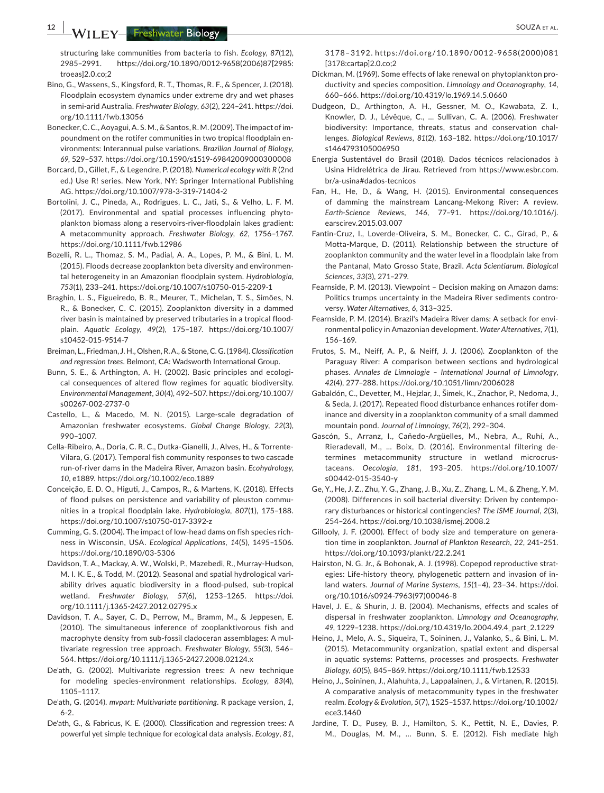**12 WILEY** Freshwater Biology **CONSERVING SOUZA ET AL.** 

structuring lake communities from bacteria to fish. *Ecology*, *87*(12), 2985–2991. [https://doi.org/10.1890/0012-9658\(2006\)87\[2985:](https://doi.org/10.1890/0012-9658(2006)87[2985:troeas]2.0.co;2) [troeas\]2.0.co;2](https://doi.org/10.1890/0012-9658(2006)87[2985:troeas]2.0.co;2)

- Bino, G., Wassens, S., Kingsford, R. T., Thomas, R. F., & Spencer, J. (2018). Floodplain ecosystem dynamics under extreme dry and wet phases in semi-arid Australia. *Freshwater Biology*, *63*(2), 224–241. [https://doi.](https://doi.org/10.1111/fwb.13056) [org/10.1111/fwb.13056](https://doi.org/10.1111/fwb.13056)
- Bonecker,C.C.,Aoyagui,A. S.M., & Santos,R.M. (2009). The impact ofimpoundment on the rotifer communities in two tropical floodplain environments: Interannual pulse variations. *Brazilian Journal of Biology*, *69*, 529–537. <https://doi.org/10.1590/s1519-69842009000300008>
- Borcard, D., Gillet, F., & Legendre, P. (2018). *Numerical ecology with R* (2nd ed.) Use R! series. New York, NY: Springer International Publishing AG. <https://doi.org/10.1007/978-3-319-71404-2>
- Bortolini, J. C., Pineda, A., Rodrigues, L. C., Jati, S., & Velho, L. F. M. (2017). Environmental and spatial processes influencing phytoplankton biomass along a reservoirs-river-floodplain lakes gradient: A metacommunity approach. *Freshwater Biology*, *62*, 1756–1767. <https://doi.org/10.1111/fwb.12986>
- Bozelli, R. L., Thomaz, S. M., Padial, A. A., Lopes, P. M., & Bini, L. M. (2015). Floods decrease zooplankton beta diversity and environmental heterogeneity in an Amazonian floodplain system. *Hydrobiologia*, *753*(1), 233–241. <https://doi.org/10.1007/s10750-015-2209-1>
- Braghin, L. S., Figueiredo, B. R., Meurer, T., Michelan, T. S., Simões, N. R., & Bonecker, C. C. (2015). Zooplankton diversity in a dammed river basin is maintained by preserved tributaries in a tropical floodplain. *Aquatic Ecology*, *49*(2), 175–187. [https://doi.org/10.1007/](https://doi.org/10.1007/s10452-015-9514-7) [s10452-015-9514-7](https://doi.org/10.1007/s10452-015-9514-7)
- Breiman, L., Friedman, J. H., Olshen, R.A., & Stone,C. G. (1984). *Classification and regression trees*. Belmont, CA: Wadsworth International Group.
- Bunn, S. E., & Arthington, A. H. (2002). Basic principles and ecological consequences of altered flow regimes for aquatic biodiversity. *Environmental Management*, *30*(4), 492–507. [https://doi.org/10.1007/](https://doi.org/10.1007/s00267-002-2737-0) [s00267-002-2737-0](https://doi.org/10.1007/s00267-002-2737-0)
- Castello, L., & Macedo, M. N. (2015). Large-scale degradation of Amazonian freshwater ecosystems. *Global Change Biology*, *22*(3), 990–1007.
- Cella-Ribeiro, A., Doria, C. R. C., Dutka-Gianelli, J., Alves, H., & Torrente-Vilara, G. (2017). Temporal fish community responses to two cascade run-of-river dams in the Madeira River, Amazon basin. *Ecohydrology*, *10*, e1889. <https://doi.org/10.1002/eco.1889>
- Conceição, E. D. O., Higuti, J., Campos, R., & Martens, K. (2018). Effects of flood pulses on persistence and variability of pleuston communities in a tropical floodplain lake. *Hydrobiologia*, *807*(1), 175–188. <https://doi.org/10.1007/s10750-017-3392-z>
- Cumming, G. S. (2004). The impact of low-head dams on fish species richness in Wisconsin, USA. *Ecological Applications*, *14*(5), 1495–1506. <https://doi.org/10.1890/03-5306>
- Davidson, T. A., Mackay, A. W., Wolski, P., Mazebedi, R., Murray-Hudson, M. I. K. E., & Todd, M. (2012). Seasonal and spatial hydrological variability drives aquatic biodiversity in a flood-pulsed, sub-tropical wetland. *Freshwater Biology*, *57*(6), 1253–1265. [https://doi.](https://doi.org/10.1111/j.1365-2427.2012.02795.x) [org/10.1111/j.1365-2427.2012.02795.x](https://doi.org/10.1111/j.1365-2427.2012.02795.x)
- Davidson, T. A., Sayer, C. D., Perrow, M., Bramm, M., & Jeppesen, E. (2010). The simultaneous inference of zooplanktivorous fish and macrophyte density from sub-fossil cladoceran assemblages: A multivariate regression tree approach. *Freshwater Biology*, *55*(3), 546– 564. <https://doi.org/10.1111/j.1365-2427.2008.02124.x>
- De'ath, G. (2002). Multivariate regression trees: A new technique for modeling species-environment relationships. *Ecology*, *83*(4), 1105–1117.
- De'ath, G. (2014). *mvpart: Multivariate partitioning.* R package version, *1*, 6-2.
- De'ath, G., & Fabricus, K. E. (2000). Classification and regression trees: A powerful yet simple technique for ecological data analysis. *Ecology*, *81*,

3178–3192.  [ht tps://doi.org/10.1890/0012-9658\(2000\)081](https://doi.org/10.1890/0012-9658(2000)081[3178:cartap]2.0.co;2) [\[3178:cartap\]2.0.co;2](https://doi.org/10.1890/0012-9658(2000)081[3178:cartap]2.0.co;2)

- Dickman, M. (1969). Some effects of lake renewal on phytoplankton productivity and species composition. *Limnology and Oceanography*, *14*, 660–666. <https://doi.org/10.4319/lo.1969.14.5.0660>
- Dudgeon, D., Arthington, A. H., Gessner, M. O., Kawabata, Z. I., Knowler, D. J., Lévêque, C., … Sullivan, C. A. (2006). Freshwater biodiversity: Importance, threats, status and conservation challenges. *Biological Reviews*, *81*(2), 163–182. [https://doi.org/10.1017/](https://doi.org/10.1017/s1464793105006950) [s1464793105006950](https://doi.org/10.1017/s1464793105006950)
- Energia Sustentável do Brasil (2018). Dados técnicos relacionados à Usina Hidrelétrica de Jirau. Retrieved from [https://www.esbr.com.](https://www.esbr.com.br/a-usina#dados-tecnicos) [br/a-usina#dados-tecnicos](https://www.esbr.com.br/a-usina#dados-tecnicos)
- Fan, H., He, D., & Wang, H. (2015). Environmental consequences of damming the mainstream Lancang-Mekong River: A review. *Earth-Science Reviews*, *146*, 77–91. [https://doi.org/10.1016/j.](https://doi.org/10.1016/j.earscirev.2015.03.007) [earscirev.2015.03.007](https://doi.org/10.1016/j.earscirev.2015.03.007)
- Fantin-Cruz, I., Loverde-Oliveira, S. M., Bonecker, C. C., Girad, P., & Motta-Marque, D. (2011). Relationship between the structure of zooplankton community and the water level in a floodplain lake from the Pantanal, Mato Grosso State, Brazil. *Acta Scientiarum. Biological Sciences*, *33*(3), 271–279.
- Fearnside, P. M. (2013). Viewpoint Decision making on Amazon dams: Politics trumps uncertainty in the Madeira River sediments controversy. *Water Alternatives*, *6*, 313–325.
- Fearnside, P. M. (2014). Brazil's Madeira River dams: A setback for environmental policy in Amazonian development. *Water Alternatives*, *7*(1), 156–169.
- Frutos, S. M., Neiff, A. P., & Neiff, J. J. (2006). Zooplankton of the Paraguay River: A comparison between sections and hydrological phases. *Annales de Limnologie – International Journal of Limnology*, *42*(4), 277–288. <https://doi.org/10.1051/limn/2006028>
- Gabaldón, C., Devetter, M., Hejzlar, J., Šimek, K., Znachor, P., Nedoma, J., & Seda, J. (2017). Repeated flood disturbance enhances rotifer dominance and diversity in a zooplankton community of a small dammed mountain pond. *Journal of Limnology*, *76*(2), 292–304.
- Gascón, S., Arranz, I., Cañedo-Argüelles, M., Nebra, A., Ruhí, A., Rieradevall, M., … Boix, D. (2016). Environmental filtering determines metacommunity structure in wetland microcrustaceans. *Oecologia*, *181*, 193–205. [https://doi.org/10.1007/](https://doi.org/10.1007/s00442-015-3540-y) [s00442-015-3540-y](https://doi.org/10.1007/s00442-015-3540-y)
- Ge, Y., He, J. Z., Zhu, Y. G., Zhang, J. B., Xu, Z., Zhang, L. M., & Zheng, Y. M. (2008). Differences in soil bacterial diversity: Driven by contemporary disturbances or historical contingencies? *The ISME Journal*, *2*(3), 254–264. <https://doi.org/10.1038/ismej.2008.2>
- Gillooly, J. F. (2000). Effect of body size and temperature on generation time in zooplankton. *Journal of Plankton Research*, *22*, 241–251. <https://doi.org/10.1093/plankt/22.2.241>
- Hairston, N. G. Jr., & Bohonak, A. J. (1998). Copepod reproductive strategies: Life-history theory, phylogenetic pattern and invasion of inland waters. *Journal of Marine Systems*, *15*(1–4), 23–34. [https://doi.](https://doi.org/10.1016/s0924-7963(97)00046-8) [org/10.1016/s0924-7963\(97\)00046-8](https://doi.org/10.1016/s0924-7963(97)00046-8)
- Havel, J. E., & Shurin, J. B. (2004). Mechanisms, effects and scales of dispersal in freshwater zooplankton. *Limnology and Oceanography*, *49*, 1229–1238. [https://doi.org/10.4319/lo.2004.49.4\\_part\\_2.1229](https://doi.org/10.4319/lo.2004.49.4_part_2.1229)
- Heino, J., Melo, A. S., Siqueira, T., Soininen, J., Valanko, S., & Bini, L. M. (2015). Metacommunity organization, spatial extent and dispersal in aquatic systems: Patterns, processes and prospects. *Freshwater Biology*, *60*(5), 845–869. <https://doi.org/10.1111/fwb.12533>
- Heino, J., Soininen, J., Alahuhta, J., Lappalainen, J., & Virtanen, R. (2015). A comparative analysis of metacommunity types in the freshwater realm. *Ecology & Evolution*, *5*(7), 1525–1537. [https://doi.org/10.1002/](https://doi.org/10.1002/ece3.1460) [ece3.1460](https://doi.org/10.1002/ece3.1460)
- Jardine, T. D., Pusey, B. J., Hamilton, S. K., Pettit, N. E., Davies, P. M., Douglas, M. M., … Bunn, S. E. (2012). Fish mediate high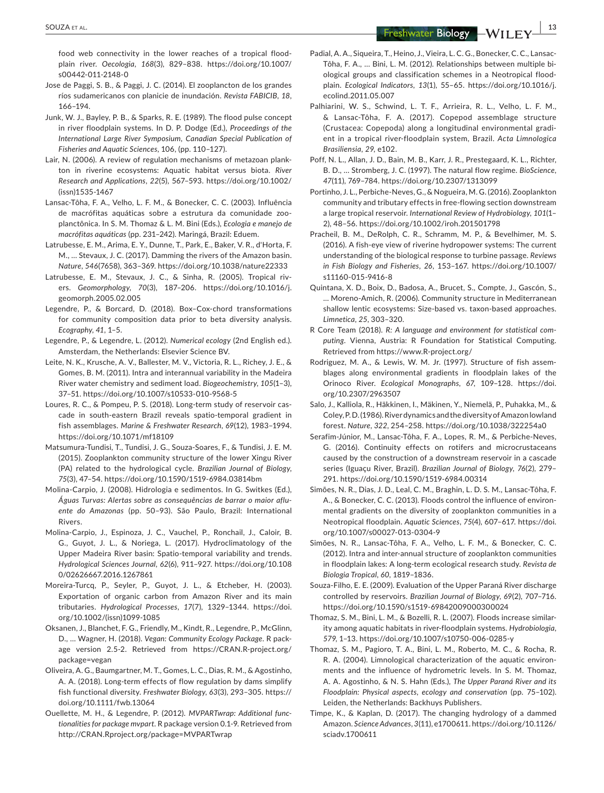**SOUZA** ET AL. **13**<br>**Example 2018 13**<br>**Example 2019 13**<br>**Example 2019 13** 

food web connectivity in the lower reaches of a tropical floodplain river. *Oecologia*, *168*(3), 829–838. [https://doi.org/10.1007/](https://doi.org/10.1007/s00442-011-2148-0) [s00442-011-2148-0](https://doi.org/10.1007/s00442-011-2148-0)

- Jose de Paggi, S. B., & Paggi, J. C. (2014). El zooplancton de los grandes ríos sudamericanos con planicie de inundación. *Revista FABICIB*, *18*, 166–194.
- Junk, W. J., Bayley, P. B., & Sparks, R. E. (1989). The flood pulse concept in river floodplain systems. In D. P. Dodge (Ed.), *Proceedings of the International Large River Symposium*, *Canadian Special Publication of Fisheries and Aquatic Sciences*, 106, (pp. 110–127).
- Lair, N. (2006). A review of regulation mechanisms of metazoan plankton in riverine ecosystems: Aquatic habitat versus biota. *River Research and Applications*, *22*(5), 567–593. [https://doi.org/10.1002/](https://doi.org/10.1002/(issn)1535-1467) [\(issn\)1535-1467](https://doi.org/10.1002/(issn)1535-1467)
- Lansac-Tôha, F. A., Velho, L. F. M., & Bonecker, C. C. (2003). Influência de macrófitas aquáticas sobre a estrutura da comunidade zooplanctônica. In S. M. Thomaz & L. M. Bini (Eds.), *Ecologia e manejo de macrófitas aquáticas* (pp. 231–242). Maringá, Brazil: Eduem.
- Latrubesse, E. M., Arima, E. Y., Dunne, T., Park, E., Baker, V. R., d'Horta, F. M., … Stevaux, J. C. (2017). Damming the rivers of the Amazon basin. *Nature*, *546*(7658), 363–369. <https://doi.org/10.1038/nature22333>
- Latrubesse, E. M., Stevaux, J. C., & Sinha, R. (2005). Tropical rivers. *Geomorphology*, *70*(3), 187–206. [https://doi.org/10.1016/j.](https://doi.org/10.1016/j.geomorph.2005.02.005) [geomorph.2005.02.005](https://doi.org/10.1016/j.geomorph.2005.02.005)
- Legendre, P., & Borcard, D. (2018). Box–Cox-chord transformations for community composition data prior to beta diversity analysis. *Ecography*, *41*, 1–5.
- Legendre, P., & Legendre, L. (2012). *Numerical ecology* (2nd English ed.). Amsterdam, the Netherlands: Elsevier Science BV.
- Leite, N. K., Krusche, A. V., Ballester, M. V., Victoria, R. L., Richey, J. E., & Gomes, B. M. (2011). Intra and interannual variability in the Madeira River water chemistry and sediment load. *Biogeochemistry*, *105*(1–3), 37–51. <https://doi.org/10.1007/s10533-010-9568-5>
- Loures, R. C., & Pompeu, P. S. (2018). Long-term study of reservoir cascade in south-eastern Brazil reveals spatio-temporal gradient in fish assemblages. *Marine & Freshwater Research*, *69*(12), 1983–1994. <https://doi.org/10.1071/mf18109>
- Matsumura-Tundisi, T., Tundisi, J. G., Souza-Soares, F., & Tundisi, J. E. M. (2015). Zooplankton community structure of the lower Xingu River (PA) related to the hydrological cycle. *Brazilian Journal of Biology*, *75*(3), 47–54. <https://doi.org/10.1590/1519-6984.03814bm>
- Molina-Carpio, J. (2008). Hidrologia e sedimentos. In G. Switkes (Ed.), *Águas Turvas: Alertas sobre as consequências de barrar o maior afluente do Amazonas* (pp. 50–93). São Paulo, Brazil: International Rivers.
- Molina-Carpio, J., Espinoza, J. C., Vauchel, P., Ronchail, J., Caloir, B. G., Guyot, J. L., & Noriega, L. (2017). Hydroclimatology of the Upper Madeira River basin: Spatio-temporal variability and trends. *Hydrological Sciences Journal*, *62*(6), 911–927. [https://doi.org/10.108](https://doi.org/10.1080/02626667.2016.1267861) [0/02626667.2016.1267861](https://doi.org/10.1080/02626667.2016.1267861)
- Moreira-Turcq, P., Seyler, P., Guyot, J. L., & Etcheber, H. (2003). Exportation of organic carbon from Amazon River and its main tributaries. *Hydrological Processes*, *17*(7), 1329–1344. [https://doi.](https://doi.org/10.1002/(issn)1099-1085) [org/10.1002/\(issn\)1099-1085](https://doi.org/10.1002/(issn)1099-1085)
- Oksanen, J., Blanchet, F. G., Friendly, M., Kindt, R., Legendre, P., McGlinn, D., … Wagner, H. (2018). *Vegan: Community Ecology Package*. R package version 2.5-2. Retrieved from [https://CRAN.R-project.org/](https://CRAN.R-project.org/package=vegan) [package=vegan](https://CRAN.R-project.org/package=vegan)
- Oliveira, A. G., Baumgartner, M. T., Gomes, L. C., Dias, R. M., & Agostinho, A. A. (2018). Long-term effects of flow regulation by dams simplify fish functional diversity. *Freshwater Biology*, *63*(3), 293–305. [https://](https://doi.org/10.1111/fwb.13064) [doi.org/10.1111/fwb.13064](https://doi.org/10.1111/fwb.13064)
- Ouellette, M. H., & Legendre, P. (2012). *MVPARTwrap: Additional functionalities for package mvpart*. R package version 0.1-9. Retrieved from <http://CRAN.Rproject.org/package=MVPARTwrap>
- Padial, A. A., Siqueira, T., Heino, J., Vieira, L. C. G., Bonecker, C. C., Lansac-Tôha, F. A., … Bini, L. M. (2012). Relationships between multiple biological groups and classification schemes in a Neotropical floodplain. *Ecological Indicators*, *13*(1), 55–65. [https://doi.org/10.1016/j.](https://doi.org/10.1016/j.ecolind.2011.05.007) [ecolind.2011.05.007](https://doi.org/10.1016/j.ecolind.2011.05.007)
- Palhiarini, W. S., Schwind, L. T. F., Arrieira, R. L., Velho, L. F. M., & Lansac-Tôha, F. A. (2017). Copepod assemblage structure (Crustacea: Copepoda) along a longitudinal environmental gradient in a tropical river-floodplain system, Brazil. *Acta Limnologica Brasiliensia*, *29*, e102.
- Poff, N. L., Allan, J. D., Bain, M. B., Karr, J. R., Prestegaard, K. L., Richter, B. D., … Stromberg, J. C. (1997). The natural flow regime. *BioScience*, *47*(11), 769–784. <https://doi.org/10.2307/1313099>
- Portinho, J. L., Perbiche‐Neves, G., & Nogueira, M. G. (2016). Zooplankton community and tributary effects in free-flowing section downstream a large tropical reservoir. *International Review of Hydrobiology*, *101*(1– 2), 48–56. <https://doi.org/10.1002/iroh.201501798>
- Pracheil, B. M., DeRolph, C. R., Schramm, M. P., & Bevelhimer, M. S. (2016). A fish-eye view of riverine hydropower systems: The current understanding of the biological response to turbine passage. *Reviews in Fish Biology and Fisheries*, *26*, 153–167. [https://doi.org/10.1007/](https://doi.org/10.1007/s11160-015-9416-8) [s11160-015-9416-8](https://doi.org/10.1007/s11160-015-9416-8)
- Quintana, X. D., Boix, D., Badosa, A., Brucet, S., Compte, J., Gascón, S., … Moreno-Amich, R. (2006). Community structure in Mediterranean shallow lentic ecosystems: Size-based vs. taxon-based approaches. *Limnetica*, *25*, 303–320.
- R Core Team (2018). *R: A language and environment for statistical computing*. Vienna, Austria: R Foundation for Statistical Computing. Retrieved from <https://www.R-project.org/>
- Rodriguez, M. A., & Lewis, W. M. Jr. (1997). Structure of fish assemblages along environmental gradients in floodplain lakes of the Orinoco River. *Ecological Monographs*, *67*, 109–128. [https://doi.](https://doi.org/10.2307/2963507) [org/10.2307/2963507](https://doi.org/10.2307/2963507)
- Salo, J., Kalliola, R., Häkkinen, I., Mäkinen, Y., Niemelä, P., Puhakka, M., & Coley,P.D.(1986).Riverdynamics andthediversityofAmazonlowland forest. *Nature*, *322*, 254–258. <https://doi.org/10.1038/322254a0>
- Serafim-Júnior, M., Lansac-Tôha, F. A., Lopes, R. M., & Perbiche-Neves, G. (2016). Continuity effects on rotifers and microcrustaceans caused by the construction of a downstream reservoir in a cascade series (Iguaçu River, Brazil). *Brazilian Journal of Biology*, *76*(2), 279– 291. <https://doi.org/10.1590/1519-6984.00314>
- Simões, N. R., Dias, J. D., Leal, C. M., Braghin, L. D. S. M., Lansac-Tôha, F. A., & Bonecker, C. C. (2013). Floods control the influence of environmental gradients on the diversity of zooplankton communities in a Neotropical floodplain. *Aquatic Sciences*, *75*(4), 607–617. [https://doi.](https://doi.org/10.1007/s00027-013-0304-9) [org/10.1007/s00027-013-0304-9](https://doi.org/10.1007/s00027-013-0304-9)
- Simões, N. R., Lansac-Tôha, F. A., Velho, L. F. M., & Bonecker, C. C. (2012). Intra and inter-annual structure of zooplankton communities in floodplain lakes: A long-term ecological research study. *Revista de Biologia Tropical*, *60*, 1819–1836.
- Souza-Filho, E. E. (2009). Evaluation of the Upper Paraná River discharge controlled by reservoirs. *Brazilian Journal of Biology*, *69*(2), 707–716. <https://doi.org/10.1590/s1519-69842009000300024>
- Thomaz, S. M., Bini, L. M., & Bozelli, R. L. (2007). Floods increase similarity among aquatic habitats in river-floodplain systems. *Hydrobiologia*, *579*, 1–13. <https://doi.org/10.1007/s10750-006-0285-y>
- Thomaz, S. M., Pagioro, T. A., Bini, L. M., Roberto, M. C., & Rocha, R. R. A. (2004). Limnological characterization of the aquatic environments and the influence of hydrometric levels. In S. M. Thomaz, A. A. Agostinho, & N. S. Hahn (Eds.), *The Upper Paraná River and its Floodplain: Physical aspects, ecology and conservation* (pp. 75–102). Leiden, the Netherlands: Backhuys Publishers.
- Timpe, K., & Kaplan, D. (2017). The changing hydrology of a dammed Amazon. *Science Advances*, *3*(11), e1700611. [https://doi.org/10.1126/](https://doi.org/10.1126/sciadv.1700611) [sciadv.1700611](https://doi.org/10.1126/sciadv.1700611)